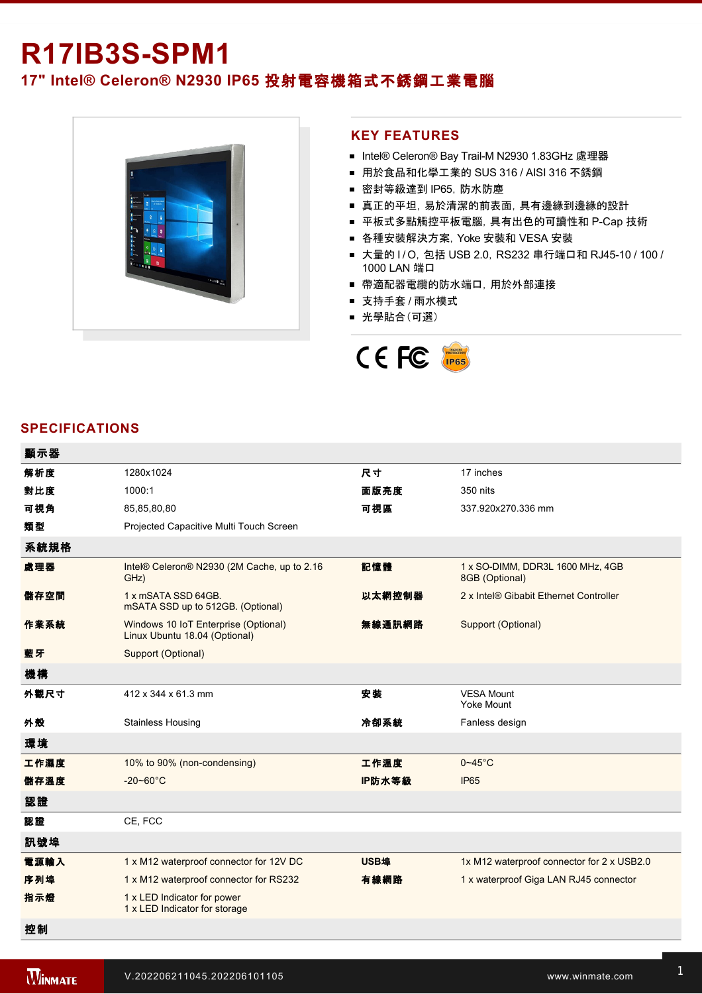# **R17IB3S-SPM1**

# **17" Intel® Celeron® N2930 IP65** 投射電容機箱式不銹鋼工業電腦



#### **KEY FEATURES**

- Intel® Celeron® Bay Trail-M N2930 1.83GHz 處理器
- 用於食品和化學工業的 SUS 316 / AISI 316 不銹鋼
- 密封等級達到 IP65, 防水防塵
- 真正的平坦, 易於清潔的前表面, 具有邊緣到邊緣的設計
- 平板式多點觸控平板電腦, 具有出色的可讀性和 P-Cap 技術
- 各種安裝解決方案,Yoke 安裝和 VESA 安裝
- 大量的 I/O, 包括 USB 2.0, RS232 串行端口和 RJ45-10 / 100 / 1000 LAN 端口
- 帶適配器電纜的防水端口, 用於外部連接
- 支持手套 / 雨水模式
- 光學貼合(可選)



#### **SPECIFICATIONS**

| 顯示器  |                                                                       |             |                                                    |
|------|-----------------------------------------------------------------------|-------------|----------------------------------------------------|
| 解析度  | 1280x1024                                                             | 尺寸          | 17 inches                                          |
| 對比度  | 1000:1                                                                | 面版亮度        | 350 nits                                           |
| 可視角  | 85,85,80,80                                                           | 可視區         | 337.920x270.336 mm                                 |
| 類型   | Projected Capacitive Multi Touch Screen                               |             |                                                    |
| 系統規格 |                                                                       |             |                                                    |
| 處理器  | Intel® Celeron® N2930 (2M Cache, up to 2.16<br>GHz)                   | 記憶體         | 1 x SO-DIMM, DDR3L 1600 MHz, 4GB<br>8GB (Optional) |
| 儲存空間 | 1 x mSATA SSD 64GB.<br>mSATA SSD up to 512GB. (Optional)              | 以太網控制器      | 2 x Intel® Gibabit Ethernet Controller             |
| 作業系統 | Windows 10 IoT Enterprise (Optional)<br>Linux Ubuntu 18.04 (Optional) | 無線通訊網路      | Support (Optional)                                 |
| 藍牙   | Support (Optional)                                                    |             |                                                    |
| 機構   |                                                                       |             |                                                    |
| 外觀尺寸 | 412 x 344 x 61.3 mm                                                   | 安裝          | <b>VESA Mount</b><br><b>Yoke Mount</b>             |
| 外殼   | <b>Stainless Housing</b>                                              | 冷卻系統        | Fanless design                                     |
| 環境   |                                                                       |             |                                                    |
| 工作濕度 | 10% to 90% (non-condensing)                                           | 工作溫度        | $0 - 45$ °C                                        |
| 儲存溫度 | $-20 - 60^{\circ}C$                                                   | IP防水等級      | <b>IP65</b>                                        |
| 認證   |                                                                       |             |                                                    |
| 認證   | CE, FCC                                                               |             |                                                    |
| 訊號埠  |                                                                       |             |                                                    |
| 電源輸入 | 1 x M12 waterproof connector for 12V DC                               | <b>USB埠</b> | 1x M12 waterproof connector for 2 x USB2.0         |
| 序列埠  | 1 x M12 waterproof connector for RS232                                | 有線網路        | 1 x waterproof Giga LAN RJ45 connector             |
| 指示燈  | 1 x LED Indicator for power<br>1 x LED Indicator for storage          |             |                                                    |
| 控制   |                                                                       |             |                                                    |

1 x Reset Button